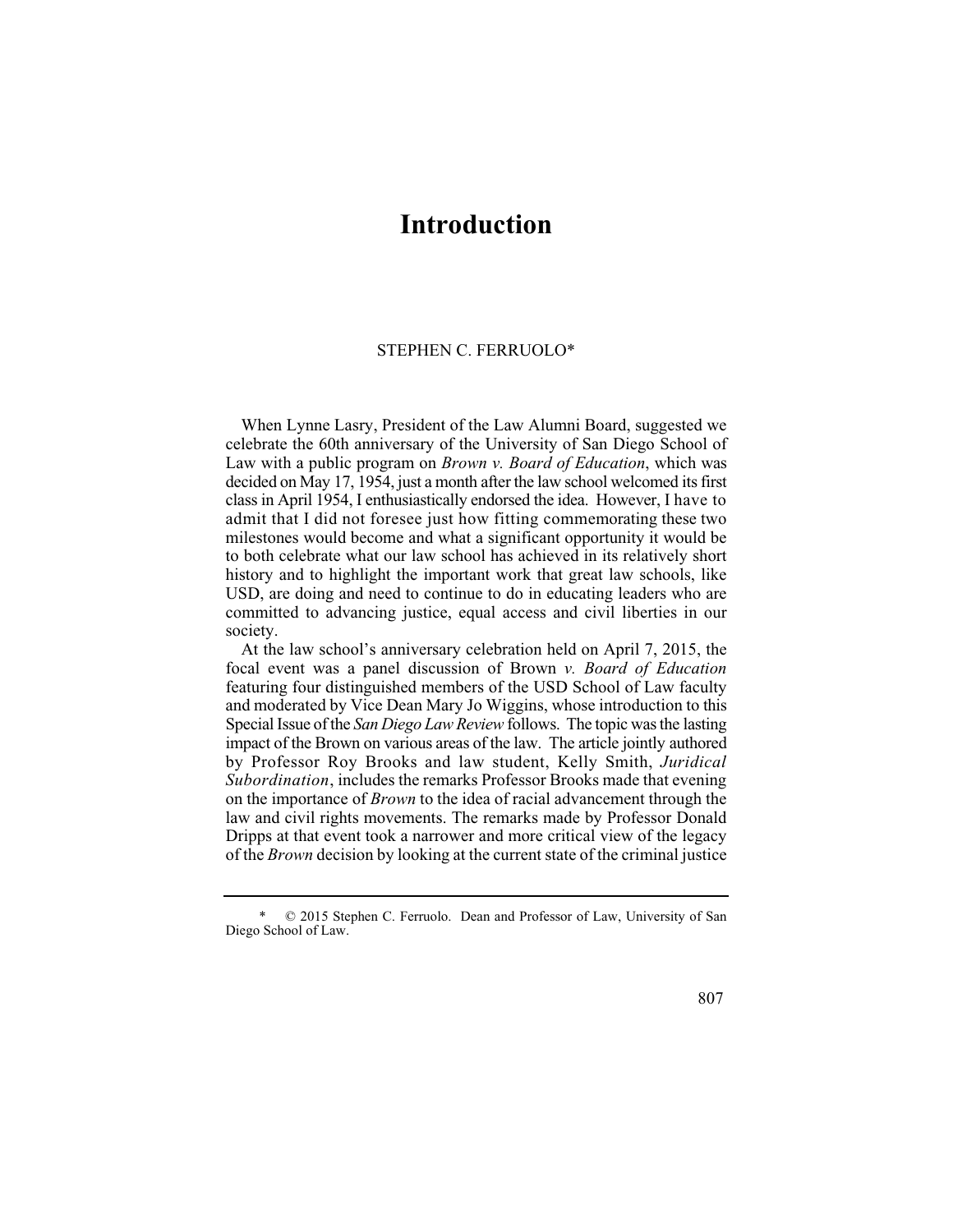## **Introduction**

## STEPHEN C. FERRUOLO\*

 class in April 1954, I enthusiastically endorsed the idea. However, I have to When Lynne Lasry, President of the Law Alumni Board, suggested we celebrate the 60th anniversary of the University of San Diego School of Law with a public program on *Brown v. Board of Education*, which was decided on May 17, 1954, just a month after the law school welcomed its first admit that I did not foresee just how fitting commemorating these two milestones would become and what a significant opportunity it would be to both celebrate what our law school has achieved in its relatively short history and to highlight the important work that great law schools, like USD, are doing and need to continue to do in educating leaders who are committed to advancing justice, equal access and civil liberties in our society.

 Special Issue of the *San Diego Law Review* follows. The topic was the lasting At the law school's anniversary celebration held on April 7, 2015, the focal event was a panel discussion of Brown *v. Board of Education*  featuring four distinguished members of the USD School of Law faculty and moderated by Vice Dean Mary Jo Wiggins, whose introduction to this impact of the Brown on various areas of the law. The article jointly authored by Professor Roy Brooks and law student, Kelly Smith, *Juridical Subordination*, includes the remarks Professor Brooks made that evening on the importance of *Brown* to the idea of racial advancement through the law and civil rights movements. The remarks made by Professor Donald Dripps at that event took a narrower and more critical view of the legacy of the *Brown* decision by looking at the current state of the criminal justice

807

<sup>\* © 2015</sup> Stephen C. Ferruolo. Dean and Professor of Law, University of San Diego School of Law.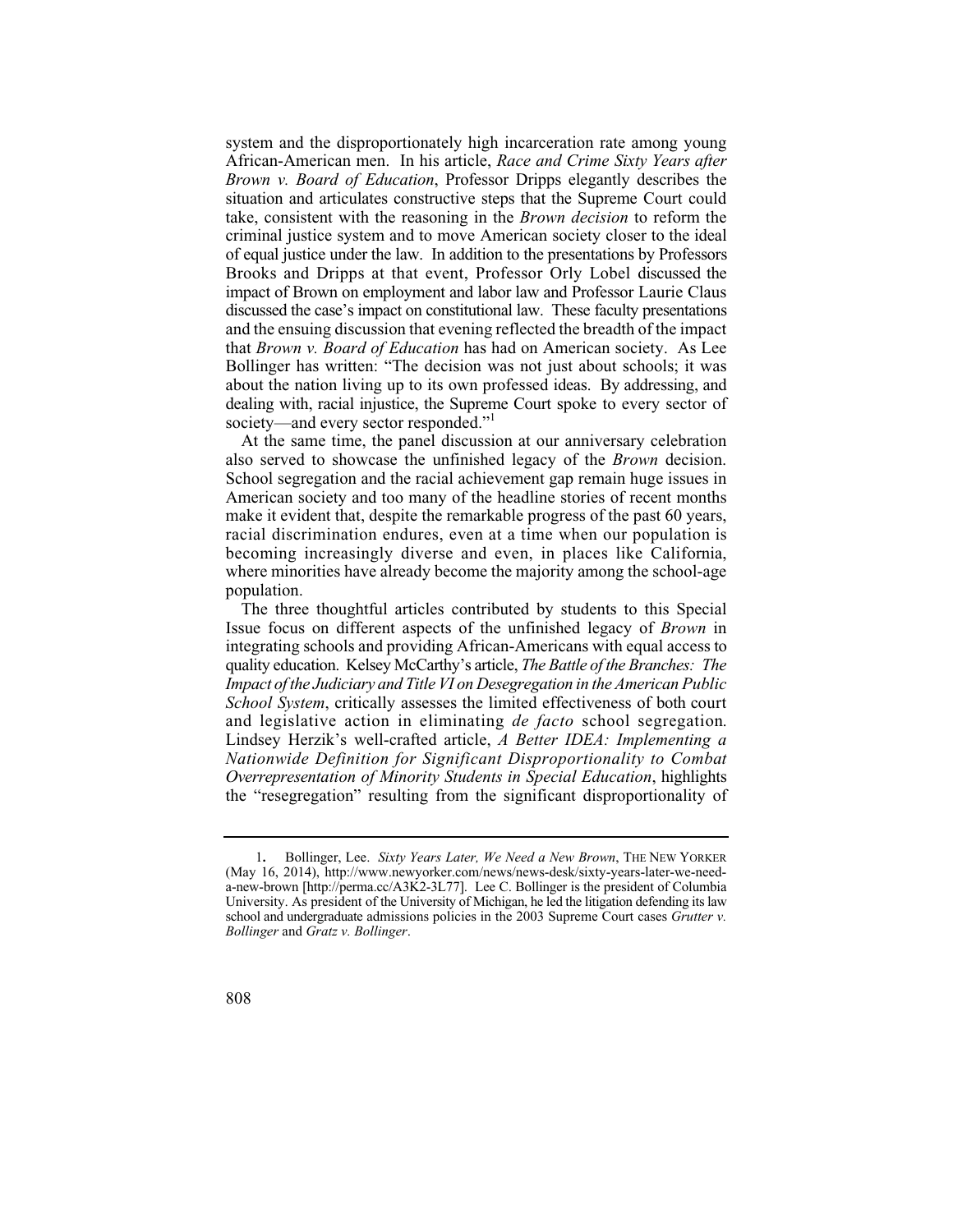African-American men. In his article, *Race and Crime Sixty Years after*  situation and articulates constructive steps that the Supreme Court could criminal justice system and to move American society closer to the ideal Brooks and Dripps at that event, Professor Orly Lobel discussed the impact of Brown on employment and labor law and Professor Laurie Claus dealing with, racial injustice, the Supreme Court spoke to every sector of system and the disproportionately high incarceration rate among young *Brown v. Board of Education*, Professor Dripps elegantly describes the take, consistent with the reasoning in the *Brown decision* to reform the of equal justice under the law. In addition to the presentations by Professors discussed the case's impact on constitutional law. These faculty presentations and the ensuing discussion that evening reflected the breadth of the impact that *Brown v. Board of Education* has had on American society. As Lee Bollinger has written: "The decision was not just about schools; it was about the nation living up to its own professed ideas. By addressing, and society—and every sector responded."

also served to showcase the unfinished legacy of the *Brown* decision. At the same time, the panel discussion at our anniversary celebration School segregation and the racial achievement gap remain huge issues in American society and too many of the headline stories of recent months make it evident that, despite the remarkable progress of the past 60 years, racial discrimination endures, even at a time when our population is becoming increasingly diverse and even, in places like California, where minorities have already become the majority among the school-age population.

 *School System*, critically assesses the limited effectiveness of both court and legislative action in eliminating de facto school segregation. The three thoughtful articles contributed by students to this Special Issue focus on different aspects of the unfinished legacy of *Brown* in integrating schools and providing African-Americans with equal access to quality education. Kelsey McCarthy's article, *The Battle of the Branches: The Impact of the Judiciary and Title VI on Desegregation in the American Public*  Lindsey Herzik's well-crafted article, *A Better IDEA: Implementing a Nationwide Definition for Significant Disproportionality to Combat Overrepresentation of Minority Students in Special Education*, highlights the "resegregation" resulting from the significant disproportionality of

 University. As president of the University of Michigan, he led the litigation defending its law school and undergraduate admissions policies in the 2003 Supreme Court cases *Grutter v.*  1**.** Bollinger, Lee. *Sixty Years Later, We Need a New Brown*, THE NEW YORKER (May 16, 2014), http://www.newyorker.com/news/news-desk/sixty-years-later-we-needa-new-brown [http://perma.cc/A3K2-3L77]. Lee C. Bollinger is the president of Columbia *Bollinger* and *Gratz v. Bollinger*.

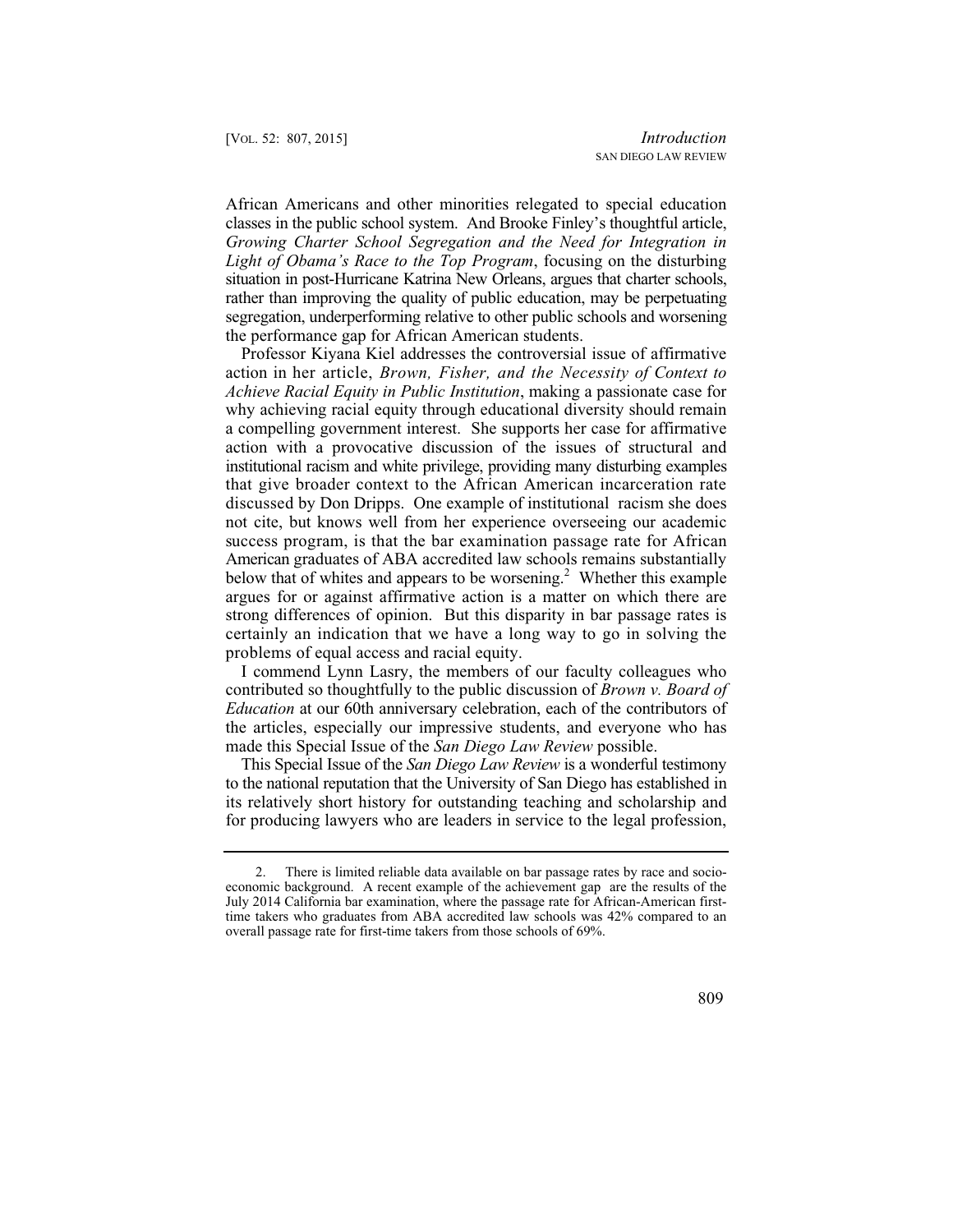African Americans and other minorities relegated to special education classes in the public school system. And Brooke Finley's thoughtful article, *Growing Charter School Segregation and the Need for Integration in Light of Obama's Race to the Top Program*, focusing on the disturbing situation in post-Hurricane Katrina New Orleans, argues that charter schools, rather than improving the quality of public education, may be perpetuating segregation, underperforming relative to other public schools and worsening the performance gap for African American students.

 action in her article, *Brown, Fisher, and the Necessity of Context to*  Professor Kiyana Kiel addresses the controversial issue of affirmative *Achieve Racial Equity in Public Institution*, making a passionate case for why achieving racial equity through educational diversity should remain a compelling government interest. She supports her case for affirmative action with a provocative discussion of the issues of structural and institutional racism and white privilege, providing many disturbing examples that give broader context to the African American incarceration rate discussed by Don Dripps. One example of institutional racism she does not cite, but knows well from her experience overseeing our academic success program, is that the bar examination passage rate for African American graduates of ABA accredited law schools remains substantially below that of whites and appears to be worsening.<sup>2</sup> Whether this example argues for or against affirmative action is a matter on which there are strong differences of opinion. But this disparity in bar passage rates is certainly an indication that we have a long way to go in solving the problems of equal access and racial equity.

I commend Lynn Lasry, the members of our faculty colleagues who contributed so thoughtfully to the public discussion of *Brown v. Board of Education* at our 60th anniversary celebration, each of the contributors of the articles, especially our impressive students, and everyone who has made this Special Issue of the *San Diego Law Review* possible.

 This Special Issue of the *San Diego Law Review* is a wonderful testimony to the national reputation that the University of San Diego has established in its relatively short history for outstanding teaching and scholarship and for producing lawyers who are leaders in service to the legal profession,

<sup>2.</sup> There is limited reliable data available on bar passage rates by race and socioeconomic background. A recent example of the achievement gap are the results of the July 2014 California bar examination, where the passage rate for African-American firsttime takers who graduates from ABA accredited law schools was 42% compared to an overall passage rate for first-time takers from those schools of 69%.